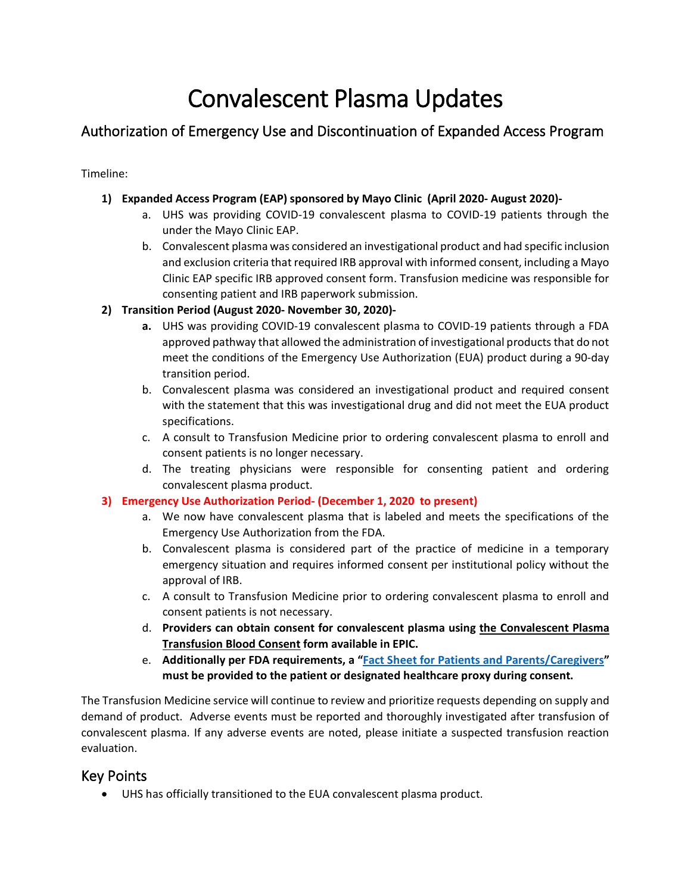# Convalescent Plasma Updates

# Authorization of Emergency Use and Discontinuation of Expanded Access Program

Timeline:

## **1) Expanded Access Program (EAP) sponsored by Mayo Clinic (April 2020- August 2020)-**

- a. UHS was providing COVID-19 convalescent plasma to COVID-19 patients through the under the Mayo Clinic EAP.
- and exclusion criteria that required IRB approval with informed consent, including a Mayo b. Convalescent plasma was considered an investigational product and had specific inclusion Clinic EAP specific IRB approved consent form. Transfusion medicine was responsible for consenting patient and IRB paperwork submission.

## **2) Transition Period (August 2020- November 30, 2020)-**

- approved pathway that allowed the administration of investigational products that do not meet the conditions of the Emergency Use Authorization (EUA) product during a 90-day transition period. **a.** UHS was providing COVID-19 convalescent plasma to COVID-19 patients through a FDA
- b. Convalescent plasma was considered an investigational product and required consent with the statement that this was investigational drug and did not meet the EUA product specifications.
- c. A consult to Transfusion Medicine prior to ordering convalescent plasma to enroll and consent patients is no longer necessary.
- d. The treating physicians were responsible for consenting patient and ordering convalescent plasma product.

#### **3) Emergency Use Authorization Period- (December 1, 2020 to present)**

- a. We now have convalescent plasma that is labeled and meets the specifications of the Emergency Use Authorization from the FDA.
- b. Convalescent plasma is considered part of the practice of medicine in a temporary approval of IRB. emergency situation and requires informed consent per institutional policy without the
- consent patients is not necessary. c. A consult to Transfusion Medicine prior to ordering convalescent plasma to enroll and
- **Transfusion Blood Consent form available in EPIC.** d. **Providers can obtain consent for convalescent plasma using the Convalescent Plasma**
- **must be provided to the patient or designated healthcare proxy during consent.**  e. **Additionally per FDA requirements, a ["Fact Sheet for Patients and Parents/Caregivers"](https://www.fda.gov/media/141479/download)**

 demand of product. Adverse events must be reported and thoroughly investigated after transfusion of The Transfusion Medicine service will continue to review and prioritize requests depending on supply and convalescent plasma. If any adverse events are noted, please initiate a suspected transfusion reaction evaluation.

# Key Points

• UHS has officially transitioned to the EUA convalescent plasma product.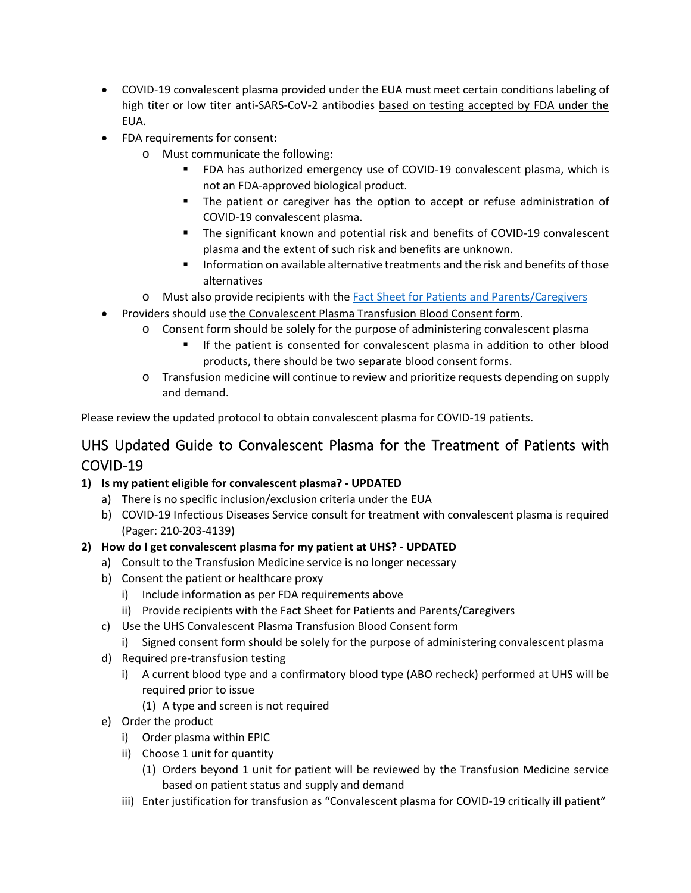- COVID-19 convalescent plasma provided under the EUA must meet certain conditions labeling of high titer or low titer anti-SARS-CoV-2 antibodies based on testing accepted by FDA under the EUA.
- FDA requirements for consent:
	- o Must communicate the following:
		- FDA has authorized emergency use of COVID-19 convalescent plasma, which is not an FDA-approved biological product.
		- The patient or caregiver has the option to accept or refuse administration of COVID-19 convalescent plasma.
		- plasma and the extent of such risk and benefits are unknown. The significant known and potential risk and benefits of COVID-19 convalescent
		- Information on available alternative treatments and the risk and benefits of those alternatives
	- o Must also provide recipients with the [Fact Sheet for Patients and Parents/Caregivers](https://www.fda.gov/media/141479/download)
- Providers should use the Convalescent Plasma Transfusion Blood Consent form.
	- o Consent form should be solely for the purpose of administering convalescent plasma
		- If the patient is consented for convalescent plasma in addition to other blood products, there should be two separate blood consent forms.
	- o Transfusion medicine will continue to review and prioritize requests depending on supply and demand.

Please review the updated protocol to obtain convalescent plasma for COVID-19 patients.

# UHS Updated Guide to Convalescent Plasma for the Treatment of Patients with COVID-19

## **1) Is my patient eligible for convalescent plasma? - UPDATED**

- a) There is no specific inclusion/exclusion criteria under the EUA
- b) COVID-19 Infectious Diseases Service consult for treatment with convalescent plasma is required (Pager: 210-203-4139)

## **2) How do I get convalescent plasma for my patient at UHS? - UPDATED**

- a) Consult to the Transfusion Medicine service is no longer necessary
- b) Consent the patient or healthcare proxy
	- i) Include information as per FDA requirements above
	- ii) Provide recipients with the Fact Sheet for Patients and Parents/Caregivers
- c) Use the UHS Convalescent Plasma Transfusion Blood Consent form
	- i) Signed consent form should be solely for the purpose of administering convalescent plasma
- d) Required pre-transfusion testing
	- i) A current blood type and a confirmatory blood type (ABO recheck) performed at UHS will be required prior to issue
		- (1) A type and screen is not required
- e) Order the product
	- i) Order plasma within EPIC
	- ii) Choose 1 unit for quantity
		- (1) Orders beyond 1 unit for patient will be reviewed by the Transfusion Medicine service based on patient status and supply and demand
	- iii) Enter justification for transfusion as "Convalescent plasma for COVID-19 critically ill patient"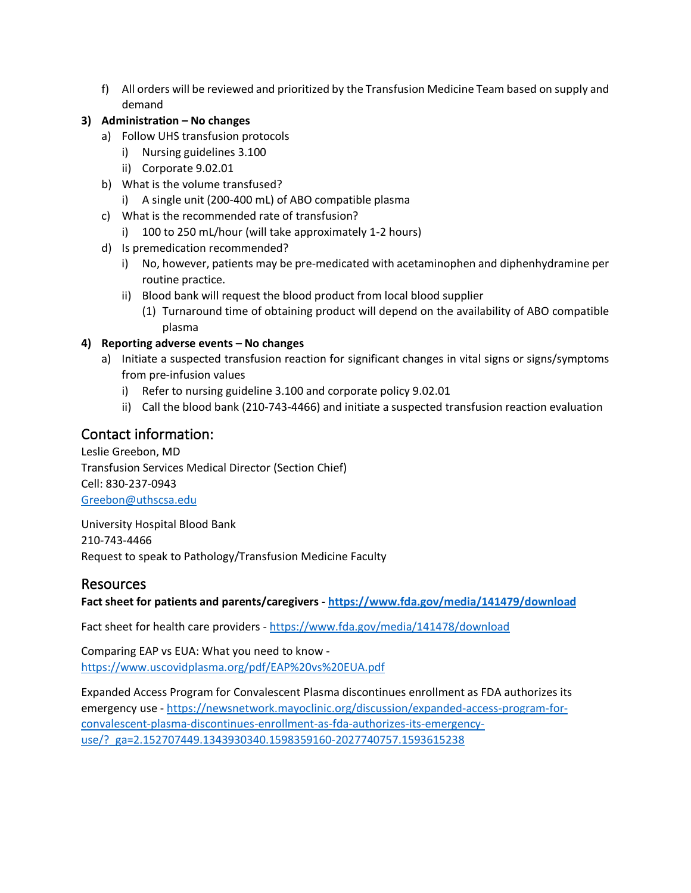f) All orders will be reviewed and prioritized by the Transfusion Medicine Team based on supply and demand

## **3) Administration – No changes**

- a) Follow UHS transfusion protocols
	- i) Nursing guidelines 3.100
	- ii) Corporate 9.02.01
- b) What is the volume transfused?
	- i) A single unit (200-400 mL) of ABO compatible plasma
- c) What is the recommended rate of transfusion?
	- i) 100 to 250 mL/hour (will take approximately 1-2 hours)
- d) Is premedication recommended?
	- i) No, however, patients may be pre-medicated with acetaminophen and diphenhydramine per routine practice.
	- ii) Blood bank will request the blood product from local blood supplier
		- (1) Turnaround time of obtaining product will depend on the availability of ABO compatible plasma

#### **4) Reporting adverse events – No changes**

- a) Initiate a suspected transfusion reaction for significant changes in vital signs or signs/symptoms from pre-infusion values
	- i) Refer to nursing guideline 3.100 and corporate policy 9.02.01
	- ii) Call the blood bank (210-743-4466) and initiate a suspected transfusion reaction evaluation

# Contact information:

Leslie Greebon, MD Transfusion Services Medical Director (Section Chief) Cell: 830-237-0943 [Greebon@uthscsa.edu](mailto:Greebon@uthscsa.edu) 

 Request to speak to Pathology/Transfusion Medicine Faculty University Hospital Blood Bank 210-743-4466

## Resources

**Fact sheet for patients and parents/caregivers - <https://www.fda.gov/media/141479/download>**

Fact sheet for health care providers - <https://www.fda.gov/media/141478/download>

Comparing EAP vs EUA: What you need to know <https://www.uscovidplasma.org/pdf/EAP%20vs%20EUA.pdf>

Expanded Access Program for Convalescent Plasma discontinues enrollment as FDA authorizes its emergency use - [https://newsnetwork.mayoclinic.org/discussion/expanded-access-program-for](https://newsnetwork.mayoclinic.org/discussion/expanded-access-program-for-convalescent-plasma-discontinues-enrollment-as-fda-authorizes-its-emergency-use/?_ga=2.152707449.1343930340.1598359160-2027740757.1593615238)[convalescent-plasma-discontinues-enrollment-as-fda-authorizes-its-emergency](https://newsnetwork.mayoclinic.org/discussion/expanded-access-program-for-convalescent-plasma-discontinues-enrollment-as-fda-authorizes-its-emergency-use/?_ga=2.152707449.1343930340.1598359160-2027740757.1593615238)[use/?\\_ga=2.152707449.1343930340.1598359160-2027740757.1593615238](https://newsnetwork.mayoclinic.org/discussion/expanded-access-program-for-convalescent-plasma-discontinues-enrollment-as-fda-authorizes-its-emergency-use/?_ga=2.152707449.1343930340.1598359160-2027740757.1593615238)